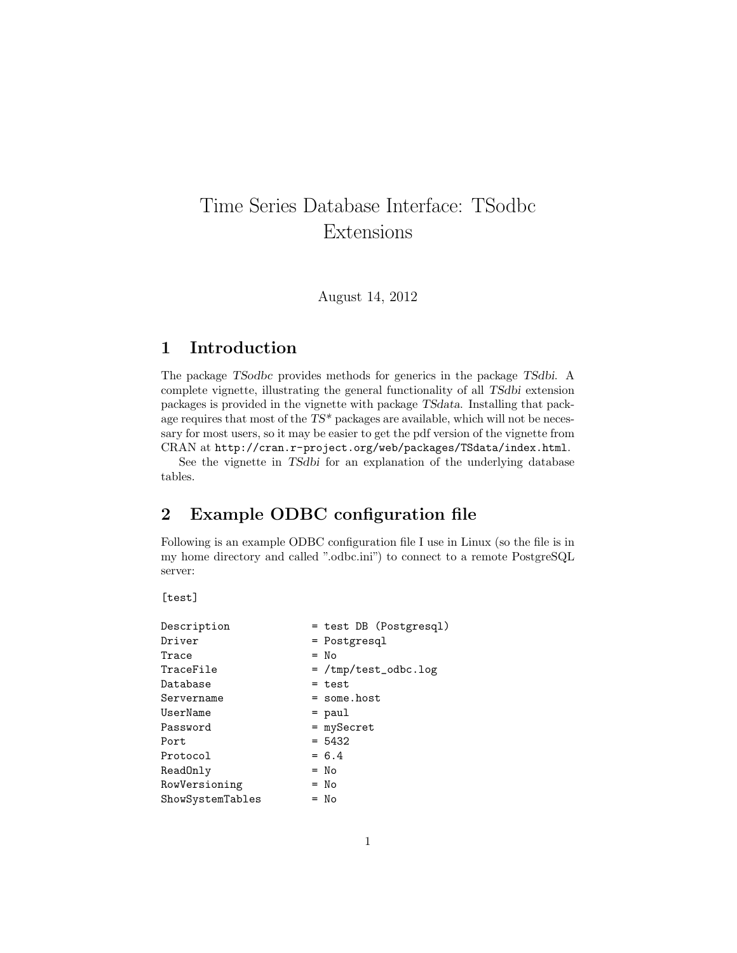## Time Series Database Interface: TSodbc Extensions

August 14, 2012

## 1 Introduction

The package TSodbc provides methods for generics in the package TSdbi. A complete vignette, illustrating the general functionality of all TSdbi extension packages is provided in the vignette with package TSdata. Installing that package requires that most of the TS\* packages are available, which will not be necessary for most users, so it may be easier to get the pdf version of the vignette from CRAN at http://cran.r-project.org/web/packages/TSdata/index.html.

See the vignette in TSdbi for an explanation of the underlying database tables.

## 2 Example ODBC configuration file

Following is an example ODBC configuration file I use in Linux (so the file is in my home directory and called ".odbc.ini") to connect to a remote PostgreSQL server:

[test]

| Description      | = test DB (Postgresql) |
|------------------|------------------------|
| Driver           | = Postgresql           |
| Trace            | $=$ No                 |
| TraceFile        | $=$ /tmp/test_odbc.log |
| Database         | $=$ test               |
| Servername       | $=$ some.host          |
| UserName         | $=$ paul               |
| Password         | = mySecret             |
| Port             | $= 5432$               |
| Protocol         | $= 6.4$                |
| ReadOnly         | $=$ No                 |
| RowVersioning    | $=$ No                 |
| ShowSystemTables | $= No$                 |